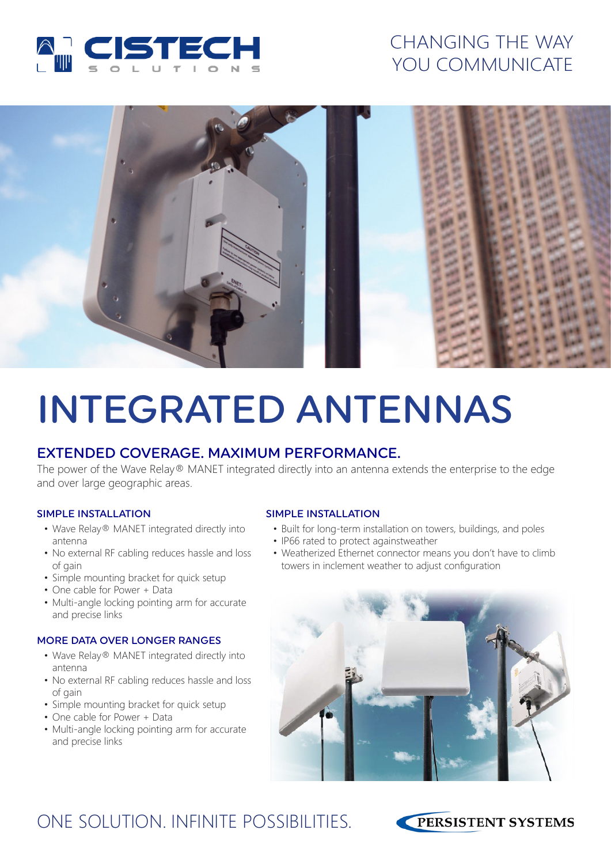

### CHANGING THE WAY YOU COMMUNICATE



# INTEGRATED ANTENNAS

### EXTENDED COVERAGE. MAXIMUM PERFORMANCE.

The power of the Wave Relay® MANET integrated directly into an antenna extends the enterprise to the edge and over large geographic areas.

#### SIMPLE INSTALLATION SIMPLE INSTALLATION

- Wave Relay® MANET integrated directly into antenna
- No external RF cabling reduces hassle and loss of gain
- Simple mounting bracket for quick setup
- One cable for Power + Data
- Multi-angle locking pointing arm for accurate and precise links

#### MORE DATA OVER LONGER RANGES

- Wave Relay® MANET integrated directly into antenna
- No external RF cabling reduces hassle and loss of gain
- Simple mounting bracket for quick setup
- One cable for Power + Data
- Multi-angle locking pointing arm for accurate and precise links

- Built for long-term installation on towers, buildings, and poles
- IP66 rated to protect againstweather
- Weatherized Ethernet connector means you don't have to climb towers in inclement weather to adjust configuration



### ONE SOLUTION. INFINITE POSSIBILITIES.

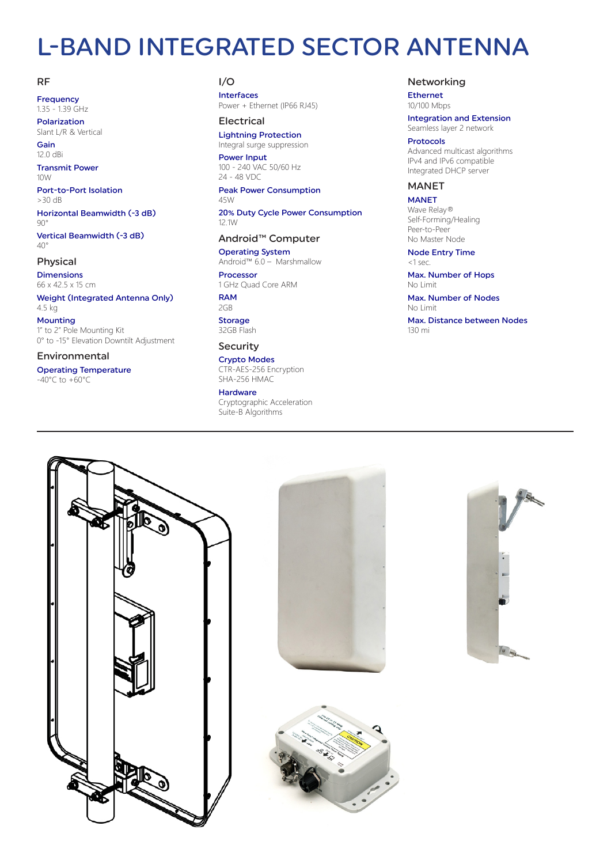### L-BAND INTEGRATED SECTOR ANTENNA

#### RF

Frequency 1.35 - 1.39 GHz Polarization

Slant L/R & Vertical Gain

12.0 dBi

Transmit Power  $10M$ 

Port-to-Port Isolation >30 dB

Horizontal Beamwidth (-3 dB)  $90^\circ$ 

Vertical Beamwidth (-3 dB)  $40^\circ$ 

#### Physical

Dimensions 66 x 42.5 x 15 cm

Weight (Integrated Antenna Only) 4.5 kg

Mounting 1" to 2" Pole Mounting Kit 0° to -15° Elevation Downtilt Adjustment

#### Environmental

Operating Temperature -40°C to +60°C

#### I/O

Interfaces Power + Ethernet (IP66 RJ45)

#### Electrical

Lightning Protection Integral surge suppression

Power Input 100 - 240 VAC 50/60 Hz 24 - 48 VDC

Peak Power Consumption 45W

20% Duty Cycle Power Consumption 12.1W

#### Android™ Computer

Operating System Android™ 6.0 – Marshmallow

Processor 1 GHz Quad Core ARM

RAM 2GB **Storage** 32GB Flash

#### Security

Crypto Modes CTR-AES-256 Encryption SHA-256 HMAC

#### Hardware

Cryptographic Acceleration Suite-B Algorithms

#### Networking

Ethernet 10/100 Mbps

Integration and Extension Seamless layer 2 network

#### Protocols

Advanced multicast algorithms IPv4 and IPv6 compatible Integrated DHCP server

#### MANET

**MANET** Wave Relay® Self-Forming/Healing Peer-to-Peer No Master Node

Node Entry Time <1 sec.

Max. Number of Hops No Limit

Max. Number of Nodes No Limit







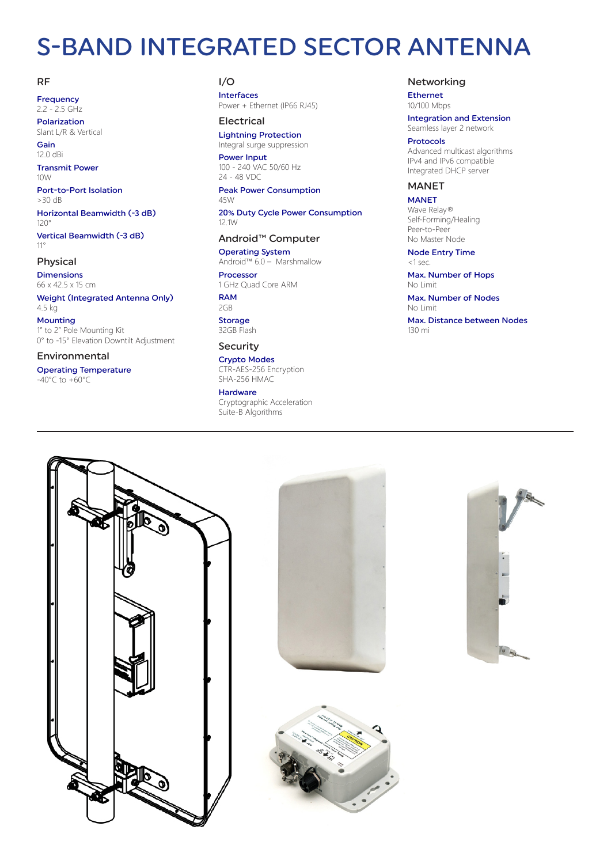## S-BAND INTEGRATED SECTOR ANTENNA

#### RF

Frequency 2.2 - 2.5 GHz Polarization

Slant L/R & Vertical Gain

12.0 dBi

Transmit Power  $10M$ 

Port-to-Port Isolation >30 dB

Horizontal Beamwidth (-3 dB) 120°

Vertical Beamwidth (-3 dB) 11°

#### Physical

Dimensions 66 x 42.5 x 15 cm

Weight (Integrated Antenna Only) 4.5 kg

Mounting 1" to 2" Pole Mounting Kit 0° to -15° Elevation Downtilt Adjustment

#### Environmental

Operating Temperature -40°C to +60°C

#### I/O

Interfaces Power + Ethernet (IP66 RJ45)

#### Electrical

Lightning Protection Integral surge suppression

Power Input 100 - 240 VAC 50/60 Hz 24 - 48 VDC

Peak Power Consumption 45W

20% Duty Cycle Power Consumption 12.1W

#### Android™ Computer

Operating System Android™ 6.0 – Marshmallow

Processor 1 GHz Quad Core ARM

RAM 2GB **Storage** 32GB Flash

#### Security

Crypto Modes CTR-AES-256 Encryption SHA-256 HMAC

#### Hardware

Cryptographic Acceleration Suite-B Algorithms

#### Networking

Ethernet 10/100 Mbps

Integration and Extension Seamless layer 2 network

#### Protocols

Advanced multicast algorithms IPv4 and IPv6 compatible Integrated DHCP server

#### MANET

**MANET** Wave Relay® Self-Forming/Healing Peer-to-Peer No Master Node

Node Entry Time <1 sec.

Max. Number of Hops No Limit

Max. Number of Nodes No Limit







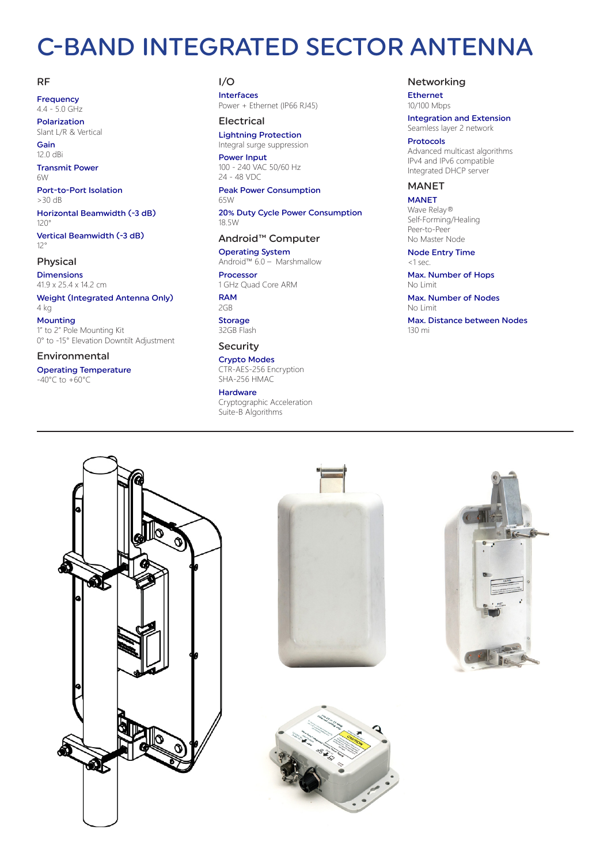## C-BAND INTEGRATED SECTOR ANTENNA

#### RF

Frequency 4.4 - 5.0 GHz Polarization

Slant L/R & Vertical

Gain 12.0 dBi

Transmit Power  $6M$ 

Port-to-Port Isolation >30 dB

Horizontal Beamwidth (-3 dB) 120°

Vertical Beamwidth (-3 dB) 12°

#### Physical

Dimensions 41.9 x 25.4 x 14.2 cm

Weight (Integrated Antenna Only) 4 kg

Mounting 1" to 2" Pole Mounting Kit 0° to -15° Elevation Downtilt Adjustment

#### Environmental

Operating Temperature -40°C to +60°C

#### I/O

Interfaces Power + Ethernet (IP66 RJ45)

#### Electrical

Lightning Protection Integral surge suppression

Power Input 100 - 240 VAC 50/60 Hz 24 - 48 VDC

Peak Power Consumption 65W

20% Duty Cycle Power Consumption 18.5W

#### Android™ Computer

Operating System Android™ 6.0 – Marshmallow

Processor 1 GHz Quad Core ARM

RAM 2GB **Storage** 32GB Flash

#### Security

Crypto Modes CTR-AES-256 Encryption SHA-256 HMAC

#### Hardware

Cryptographic Acceleration Suite-B Algorithms

#### Networking

Ethernet 10/100 Mbps

Integration and Extension Seamless layer 2 network

#### Protocols

Advanced multicast algorithms IPv4 and IPv6 compatible Integrated DHCP server

#### MANET

MANET Wave Relay® Self-Forming/Healing Peer-to-Peer No Master Node

Node Entry Time <1 sec.

Max. Number of Hops No Limit

Max. Number of Nodes No Limit







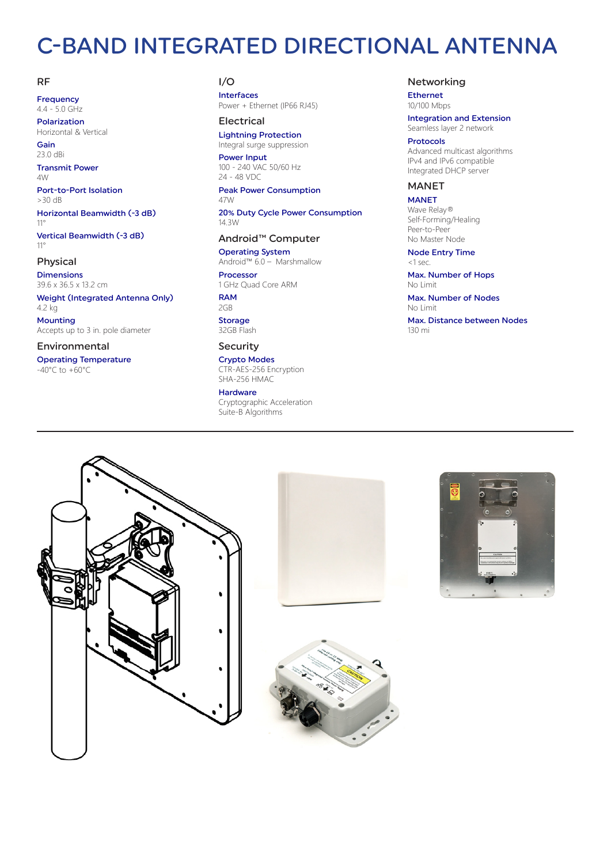### C-BAND INTEGRATED DIRECTIONAL ANTENNA

#### RF

Frequency 4.4 - 5.0 GHz Polarization

Horizontal & Vertical

Gain 23.0 dBi

Transmit Power  $\triangle M$ 

Port-to-Port Isolation >30 dB

Horizontal Beamwidth (-3 dB) 11°

Vertical Beamwidth (-3 dB) 11°

#### Physical

Dimensions 39.6 x 36.5 x 13.2 cm

Weight (Integrated Antenna Only) 4.2 kg

Mounting Accepts up to 3 in. pole diameter

#### Environmental

Operating Temperature -40°C to +60°C

#### I/O

Interfaces Power + Ethernet (IP66 RJ45)

#### Electrical

Lightning Protection Integral surge suppression

Power Input 100 - 240 VAC 50/60 Hz 24 - 48 VDC

Peak Power Consumption 47W

20% Duty Cycle Power Consumption 14.3W

#### Android™ Computer

Operating System Android™ 6.0 – Marshmallow

Processor 1 GHz Quad Core ARM

RAM 2GB **Storage** 32GB Flash

#### Security

Crypto Modes CTR-AES-256 Encryption SHA-256 HMAC

#### Hardware

Cryptographic Acceleration Suite-B Algorithms

#### Networking

Ethernet 10/100 Mbps

Integration and Extension Seamless layer 2 network

#### Protocols

Advanced multicast algorithms IPv4 and IPv6 compatible Integrated DHCP server

#### MANET

**MANET** Wave Relay® Self-Forming/Healing Peer-to-Peer No Master Node

Node Entry Time <1 sec.

Max. Number of Hops No Limit

Max. Number of Nodes No Limit